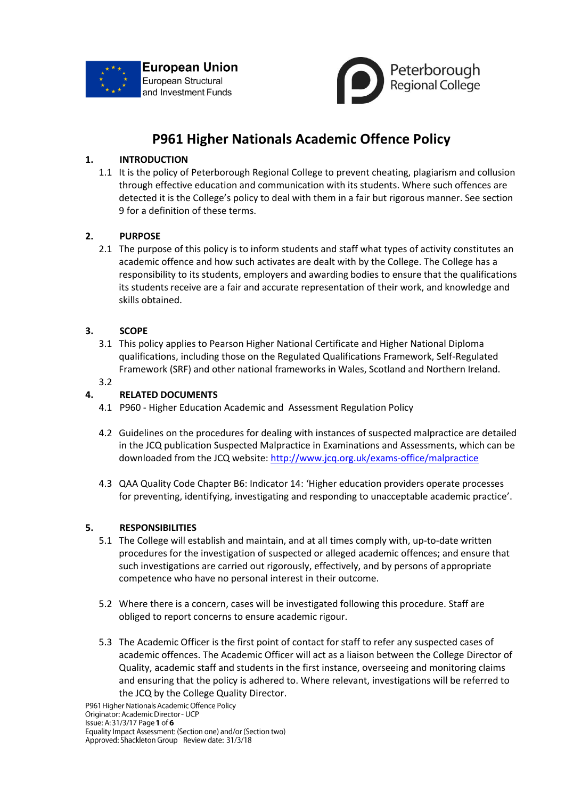



# **P961 Higher Nationals Academic Offence Policy**

# **1. INTRODUCTION**

1.1 It is the policy of Peterborough Regional College to prevent cheating, plagiarism and collusion through effective education and communication with its students. Where such offences are detected it is the College's policy to deal with them in a fair but rigorous manner. See section 9 for a definition of these terms.

# **2. PURPOSE**

2.1 The purpose of this policy is to inform students and staff what types of activity constitutes an academic offence and how such activates are dealt with by the College. The College has a responsibility to its students, employers and awarding bodies to ensure that the qualifications its students receive are a fair and accurate representation of their work, and knowledge and skills obtained.

# **3. SCOPE**

3.1 This policy applies to Pearson Higher National Certificate and Higher National Diploma qualifications, including those on the Regulated Qualifications Framework, Self-Regulated Framework (SRF) and other national frameworks in Wales, Scotland and Northern Ireland.

# 3.2

# **4. RELATED DOCUMENTS**

- 4.1 P960 Higher Education Academic and Assessment Regulation Policy
- 4.2 Guidelines on the procedures for dealing with instances of suspected malpractice are detailed in the JCQ publication Suspected Malpractice in Examinations and Assessments, which can be downloaded from the JCQ website:<http://www.jcq.org.uk/exams-office/malpractice>
- 4.3 QAA Quality Code Chapter B6: Indicator 14: 'Higher education providers operate processes for preventing, identifying, investigating and responding to unacceptable academic practice'.

# **5. RESPONSIBILITIES**

- 5.1 The College will establish and maintain, and at all times comply with, up-to-date written procedures for the investigation of suspected or alleged academic offences; and ensure that such investigations are carried out rigorously, effectively, and by persons of appropriate competence who have no personal interest in their outcome.
- 5.2 Where there is a concern, cases will be investigated following this procedure. Staff are obliged to report concerns to ensure academic rigour.
- 5.3 The Academic Officer is the first point of contact for staff to refer any suspected cases of academic offences. The Academic Officer will act as a liaison between the College Director of Quality, academic staff and students in the first instance, overseeing and monitoring claims and ensuring that the policy is adhered to. Where relevant, investigations will be referred to the JCQ by the College Quality Director.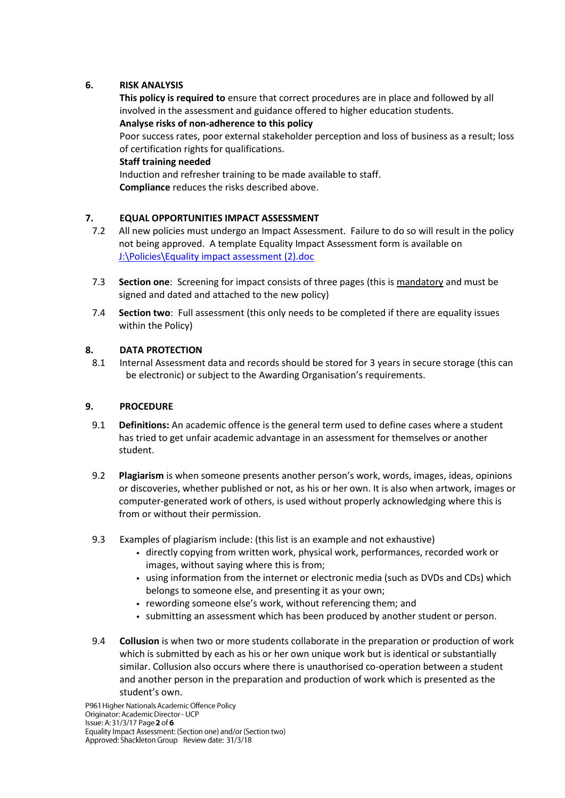# **6. RISK ANALYSIS**

**This policy is required to** ensure that correct procedures are in place and followed by all involved in the assessment and guidance offered to higher education students. **Analyse risks of non-adherence to this policy**

Poor success rates, poor external stakeholder perception and loss of business as a result; loss of certification rights for qualifications.

### **Staff training needed**

Induction and refresher training to be made available to staff. **Compliance** reduces the risks described above.

# **7. EQUAL OPPORTUNITIES IMPACT ASSESSMENT**

- 7.2 All new policies must undergo an Impact Assessment. Failure to do so will result in the policy not being approved. A template Equality Impact Assessment form is available on [J:\Policies\Equality impact assessment \(2\).doc](file:///C:/Documents%20and%20Settings/dfsCorpData/Policies/Equality%20impact%20assessment%20(2).doc)
- 7.3 **Section one**: Screening for impact consists of three pages (this is mandatory and must be signed and dated and attached to the new policy)
- 7.4 **Section two**: Full assessment (this only needs to be completed if there are equality issues within the Policy)

# **8. DATA PROTECTION**

8.1 Internal Assessment data and records should be stored for 3 years in secure storage (this can be electronic) or subject to the Awarding Organisation's requirements.

# **9. PROCEDURE**

- 9.1 **Definitions:** An academic offence is the general term used to define cases where a student has tried to get unfair academic advantage in an assessment for themselves or another student.
- 9.2 **Plagiarism** is when someone presents another person's work, words, images, ideas, opinions or discoveries, whether published or not, as his or her own. It is also when artwork, images or computer-generated work of others, is used without properly acknowledging where this is from or without their permission.
- 9.3 Examples of plagiarism include: (this list is an example and not exhaustive)
	- directly copying from written work, physical work, performances, recorded work or images, without saying where this is from;
	- using information from the internet or electronic media (such as DVDs and CDs) which belongs to someone else, and presenting it as your own;
	- rewording someone else's work, without referencing them; and
	- submitting an assessment which has been produced by another student or person.
- 9.4 **Collusion** is when two or more students collaborate in the preparation or production of work which is submitted by each as his or her own unique work but is identical or substantially similar. Collusion also occurs where there is unauthorised co-operation between a student and another person in the preparation and production of work which is presented as the student's own.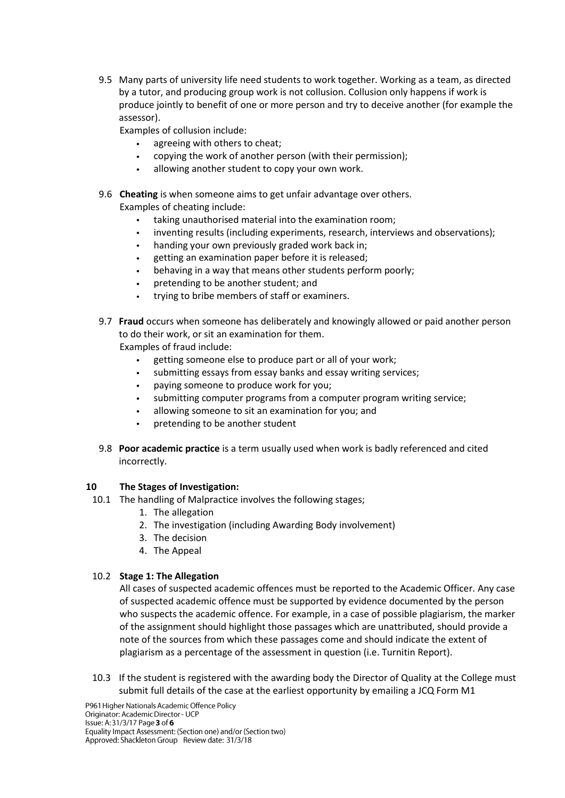9.5 Many parts of university life need students to work together. Working as a team, as directed by a tutor, and producing group work is not collusion. Collusion only happens if work is produce jointly to benefit of one or more person and try to deceive another (for example the assessor).

Examples of collusion include:

- agreeing with others to cheat;
- copying the work of another person (with their permission);
- allowing another student to copy your own work.
- 9.6 **Cheating** is when someone aims to get unfair advantage over others. Examples of cheating include:
	- taking unauthorised material into the examination room;
	- inventing results (including experiments, research, interviews and observations);
	- handing your own previously graded work back in;
	- getting an examination paper before it is released;
	- behaving in a way that means other students perform poorly;
	- pretending to be another student; and  $\bullet$  .
	- trying to bribe members of staff or examiners.
- 9.7 **Fraud** occurs when someone has deliberately and knowingly allowed or paid another person to do their work, or sit an examination for them. Examples of fraud include:

- getting someone else to produce part or all of your work;  $\bullet$
- submitting essays from essay banks and essay writing services;
- paying someone to produce work for you;
- submitting computer programs from a computer program writing service;
- allowing someone to sit an examination for you; and
- pretending to be another student
- 9.8 **Poor academic practice** is a term usually used when work is badly referenced and cited incorrectly.

# **10 The Stages of Investigation:**

- 10.1 The handling of Malpractice involves the following stages;
	- 1. The allegation
	- 2. The investigation (including Awarding Body involvement)
	- 3. The decision
	- 4. The Appeal

# 10.2 **Stage 1: The Allegation**

All cases of suspected academic offences must be reported to the Academic Officer. Any case of suspected academic offence must be supported by evidence documented by the person who suspects the academic offence. For example, in a case of possible plagiarism, the marker of the assignment should highlight those passages which are unattributed, should provide a note of the sources from which these passages come and should indicate the extent of plagiarism as a percentage of the assessment in question (i.e. Turnitin Report).

10.3 If the student is registered with the awarding body the Director of Quality at the College must submit full details of the case at the earliest opportunity by emailing a JCQ Form M1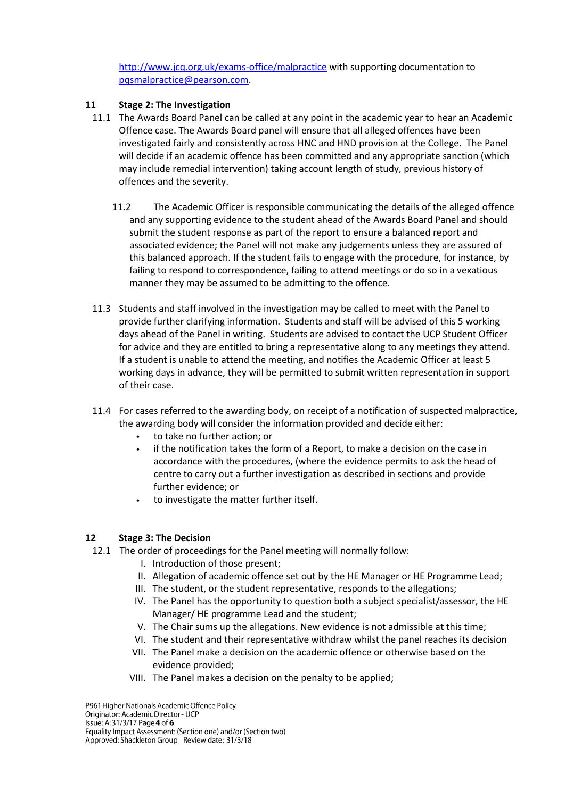<http://www.jcq.org.uk/exams-office/malpractice> with supporting documentation to [pqsmalpractice@pearson.com.](mailto:pqsmalpractice@pearson.com)

### **11 Stage 2: The Investigation**

- 11.1 The Awards Board Panel can be called at any point in the academic year to hear an Academic Offence case. The Awards Board panel will ensure that all alleged offences have been investigated fairly and consistently across HNC and HND provision at the College. The Panel will decide if an academic offence has been committed and any appropriate sanction (which may include remedial intervention) taking account length of study, previous history of offences and the severity.
	- 11.2 The Academic Officer is responsible communicating the details of the alleged offence and any supporting evidence to the student ahead of the Awards Board Panel and should submit the student response as part of the report to ensure a balanced report and associated evidence; the Panel will not make any judgements unless they are assured of this balanced approach. If the student fails to engage with the procedure, for instance, by failing to respond to correspondence, failing to attend meetings or do so in a vexatious manner they may be assumed to be admitting to the offence.
- 11.3 Students and staff involved in the investigation may be called to meet with the Panel to provide further clarifying information. Students and staff will be advised of this 5 working days ahead of the Panel in writing. Students are advised to contact the UCP Student Officer for advice and they are entitled to bring a representative along to any meetings they attend. If a student is unable to attend the meeting, and notifies the Academic Officer at least 5 working days in advance, they will be permitted to submit written representation in support of their case.
- 11.4 For cases referred to the awarding body, on receipt of a notification of suspected malpractice, the awarding body will consider the information provided and decide either:
	- to take no further action; or
	- if the notification takes the form of a Report, to make a decision on the case in accordance with the procedures, (where the evidence permits to ask the head of centre to carry out a further investigation as described in sections and provide further evidence; or
	- to investigate the matter further itself.

#### **12 Stage 3: The Decision**

- 12.1 The order of proceedings for the Panel meeting will normally follow:
	- I. Introduction of those present;
	- II. Allegation of academic offence set out by the HE Manager or HE Programme Lead;
	- III. The student, or the student representative, responds to the allegations;
	- IV. The Panel has the opportunity to question both a subject specialist/assessor, the HE Manager/ HE programme Lead and the student;
	- V. The Chair sums up the allegations. New evidence is not admissible at this time;
	- VI. The student and their representative withdraw whilst the panel reaches its decision
	- VII. The Panel make a decision on the academic offence or otherwise based on the evidence provided;
	- VIII. The Panel makes a decision on the penalty to be applied;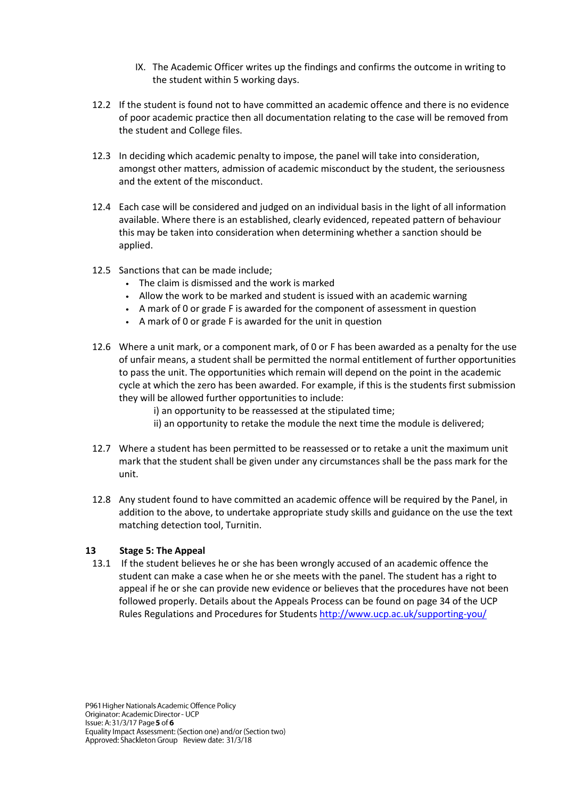- IX. The Academic Officer writes up the findings and confirms the outcome in writing to the student within 5 working days.
- 12.2 If the student is found not to have committed an academic offence and there is no evidence of poor academic practice then all documentation relating to the case will be removed from the student and College files.
- 12.3 In deciding which academic penalty to impose, the panel will take into consideration, amongst other matters, admission of academic misconduct by the student, the seriousness and the extent of the misconduct.
- 12.4 Each case will be considered and judged on an individual basis in the light of all information available. Where there is an established, clearly evidenced, repeated pattern of behaviour this may be taken into consideration when determining whether a sanction should be applied.
- 12.5 Sanctions that can be made include;
	- The claim is dismissed and the work is marked
	- Allow the work to be marked and student is issued with an academic warning
	- A mark of 0 or grade F is awarded for the component of assessment in question
	- A mark of 0 or grade F is awarded for the unit in question
- 12.6 Where a unit mark, or a component mark, of 0 or F has been awarded as a penalty for the use of unfair means, a student shall be permitted the normal entitlement of further opportunities to pass the unit. The opportunities which remain will depend on the point in the academic cycle at which the zero has been awarded. For example, if this is the students first submission they will be allowed further opportunities to include:
	- i) an opportunity to be reassessed at the stipulated time;
	- ii) an opportunity to retake the module the next time the module is delivered;
- 12.7 Where a student has been permitted to be reassessed or to retake a unit the maximum unit mark that the student shall be given under any circumstances shall be the pass mark for the unit.
- 12.8 Any student found to have committed an academic offence will be required by the Panel, in addition to the above, to undertake appropriate study skills and guidance on the use the text matching detection tool, Turnitin.

#### **13 Stage 5: The Appeal**

13.1 If the student believes he or she has been wrongly accused of an academic offence the student can make a case when he or she meets with the panel. The student has a right to appeal if he or she can provide new evidence or believes that the procedures have not been followed properly. Details about the Appeals Process can be found on page 34 of the UCP Rules Regulations and Procedures for Student[s http://www.ucp.ac.uk/supporting-you/](http://www.ucp.ac.uk/supporting-you/)